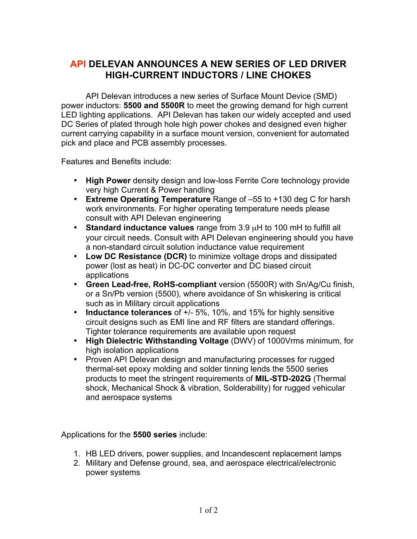## **API DELEVAN ANNOUNCES A NEW SERIES OF LED DRIVER HIGH-CURRENT INDUCTORS / LINE CHOKES**

API Delevan introduces a new series of Surface Mount Device (SMD) power inductors: **5500 and 5500R** to meet the growing demand for high current LED lighting applications. API Delevan has taken our widely accepted and used DC Series of plated through hole high power chokes and designed even higher current carrying capability in a surface mount version, convenient for automated pick and place and PCB assembly processes.

Features and Benefits include:

- **High Power** density design and low-loss Ferrite Core technology provide very high Current & Power handling
- **Extreme Operating Temperature** Range of –55 to +130 deg C for harsh work environments. For higher operating temperature needs please consult with API Delevan engineering
- **Standard inductance values** range from 3.9 µH to 100 mH to fulfill all your circuit needs. Consult with API Delevan engineering should you have a non-standard circuit solution inductance value requirement
- **Low DC Resistance (DCR)** to minimize voltage drops and dissipated power (lost as heat) in DC-DC converter and DC biased circuit applications
- **Green Lead-free, RoHS-compliant** version (5500R) with Sn/Ag/Cu finish, or a Sn/Pb version (5500), where avoidance of Sn whiskering is critical such as in Military circuit applications
- **Inductance tolerances** of +/- 5%, 10%, and 15% for highly sensitive circuit designs such as EMI line and RF filters are standard offerings. Tighter tolerance requirements are available upon request
- **High Dielectric Withstanding Voltage** (DWV) of 1000Vrms minimum, for high isolation applications
- Proven API Delevan design and manufacturing processes for rugged thermal-set epoxy molding and solder tinning lends the 5500 series products to meet the stringent requirements of **MIL-STD-202G** (Thermal shock, Mechanical Shock & vibration, Solderability) for rugged vehicular and aerospace systems

Applications for the **5500 series** include:

- 1. HB LED drivers, power supplies, and Incandescent replacement lamps
- 2. Military and Defense ground, sea, and aerospace electrical/electronic power systems